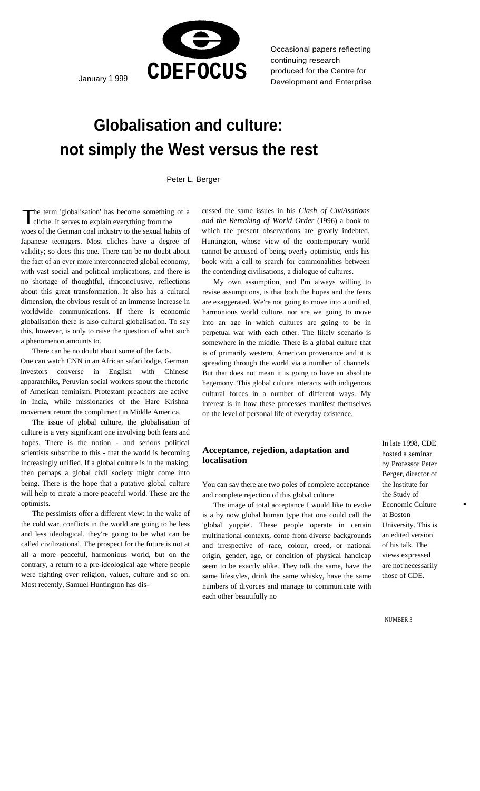

Occasional papers reflecting continuing research produced for the Centre for

# **Globalisation and culture: not simply the West versus the rest**

Peter L. Berger

h e term 'globalisation' has become something of a c liche. It serves to explain everything from the

woes of the German coal industry to the sexual habits of Japanese teenagers. Most cliches have a degree of validity; so does this one. There can be no doubt about the fact of an ever more interconnected global economy, with vast social and political implications, and there is no shortage of thoughtful, ifinconc1usive, reflections about this great transformation. It also has a cultural dimension, the obvious result of an immense increase in worldwide communications. If there is economic globalisation there is also cultural globalisation. To say this, however, is only to raise the question of what such a phenomenon amounts to.

There can be no doubt about some of the facts.

One can watch CNN in an African safari lodge, German investors converse in English with Chinese apparatchiks, Peruvian social workers spout the rhetoric of American feminism. Protestant preachers are active in India, while missionaries of the Hare Krishna movement return the compliment in Middle America.

The issue of global culture, the globalisation of culture is a very significant one involving both fears and hopes. There is the notion - and serious political scientists subscribe to this - that the world is becoming increasingly unified. If a global culture is in the making, then perhaps a global civil society might come into being. There is the hope that a putative global culture will help to create a more peaceful world. These are the optimists.

The pessimists offer a different view: in the wake of the cold war, conflicts in the world are going to be less and less ideological, they're going to be what can be called civilizational. The prospect for the future is not at all a more peaceful, harmonious world, but on the contrary, a return to a pre-ideological age where people were fighting over religion, values, culture and so on. Most recently, Samuel Huntington has dis-

The term 'globalisation' has become something of a cussed the same issues in his *Clash of Civi/isations* cliche. It serves to explain everything from the *and the Remaking of World Order* (1996) a book to which the present observations are greatly indebted. Huntington, whose view of the contemporary world cannot be accused of being overly optimistic, ends his book with a call to search for commonalities between the contending civilisations, a dialogue of cultures.

> My own assumption, and I'm always willing to revise assumptions, is that both the hopes and the fears are exaggerated. We're not going to move into a unified, harmonious world culture, nor are we going to move into an age in which cultures are going to be in perpetual war with each other. The likely scenario is somewhere in the middle. There is a global culture that is of primarily western, American provenance and it is spreading through the world via a number of channels. But that does not mean it is going to have an absolute hegemony. This global culture interacts with indigenous cultural forces in a number of different ways. My interest is in how these processes manifest themselves on the level of personal life of everyday existence.

## **Acceptance, rejedion, adaptation and localisation**

You can say there are two poles of complete acceptance and complete rejection of this global culture.

The image of total acceptance I would like to evoke is a by now global human type that one could call the 'global yuppie'. These people operate in certain multinational contexts, come from diverse backgrounds and irrespective of race, colour, creed, or national origin, gender, age, or condition of physical handicap seem to be exactly alike. They talk the same, have the same lifestyles, drink the same whisky, have the same numbers of divorces and manage to communicate with each other beautifully no

In late 1998, CDE hosted a seminar by Professor Peter Berger, director of the Institute for the Study of Economic Culture at Boston University. This is an edited version of his talk. The views expressed are not necessarily those of CDE.

•

NUMBER 3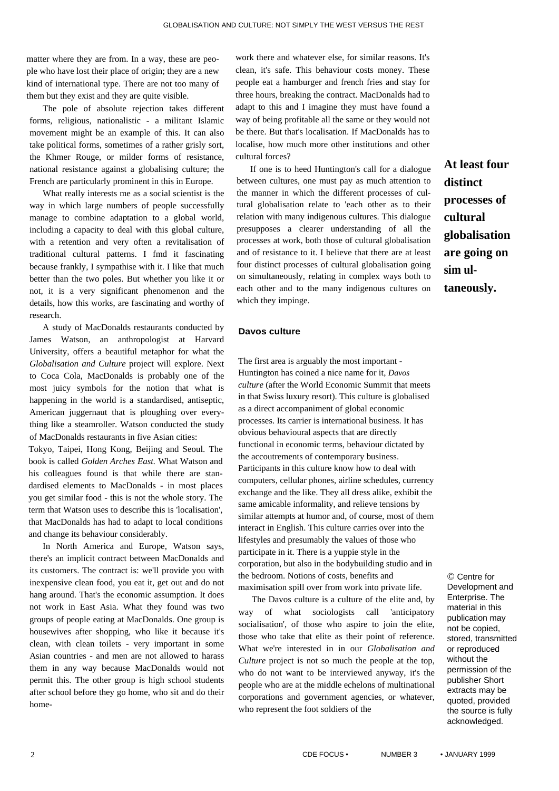matter where they are from. In a way, these are people who have lost their place of origin; they are a new kind of international type. There are not too many of them but they exist and they are quite visible.

The pole of absolute rejection takes different forms, religious, nationalistic - a militant Islamic movement might be an example of this. It can also take political forms, sometimes of a rather grisly sort, the Khmer Rouge, or milder forms of resistance, national resistance against a globalising culture; the French are particularly prominent in this in Europe.

What really interests me as a social scientist is the way in which large numbers of people successfully manage to combine adaptation to a global world, including a capacity to deal with this global culture, with a retention and very often a revitalisation of traditional cultural patterns. I fmd it fascinating because frankly, I sympathise with it. I like that much better than the two poles. But whether you like it or not, it is a very significant phenomenon and the details, how this works, are fascinating and worthy of research.

A study of MacDonalds restaurants conducted by James Watson, an anthropologist at Harvard University, offers a beautiful metaphor for what the *Globalisation and Culture* project will explore. Next to Coca Cola, MacDonalds is probably one of the most juicy symbols for the notion that what is happening in the world is a standardised, antiseptic, American juggernaut that is ploughing over everything like a steamroller. Watson conducted the study of MacDonalds restaurants in five Asian cities:

Tokyo, Taipei, Hong Kong, Beijing and Seoul. The book is called *Golden Arches East.* What Watson and his colleagues found is that while there are standardised elements to MacDonalds - in most places you get similar food - this is not the whole story. The term that Watson uses to describe this is 'localisation', that MacDonalds has had to adapt to local conditions and change its behaviour considerably.

In North America and Europe, Watson says, there's an implicit contract between MacDonalds and its customers. The contract is: we'll provide you with inexpensive clean food, you eat it, get out and do not hang around. That's the economic assumption. It does not work in East Asia. What they found was two groups of people eating at MacDonalds. One group is housewives after shopping, who like it because it's clean, with clean toilets - very important in some Asian countries - and men are not allowed to harass them in any way because MacDonalds would not permit this. The other group is high school students after school before they go home, who sit and do their homework there and whatever else, for similar reasons. It's clean, it's safe. This behaviour costs money. These people eat a hamburger and french fries and stay for three hours, breaking the contract. MacDonalds had to adapt to this and I imagine they must have found a way of being profitable all the same or they would not be there. But that's localisation. If MacDonalds has to localise, how much more other institutions and other cultural forces?

If one is to heed Huntington's call for a dialogue between cultures, one must pay as much attention to the manner in which the different processes of cultural globalisation relate to 'each other as to their relation with many indigenous cultures. This dialogue presupposes a clearer understanding of all the processes at work, both those of cultural globalisation and of resistance to it. I believe that there are at least four distinct processes of cultural globalisation going on simultaneously, relating in complex ways both to each other and to the many indigenous cultures on which they impinge.

**At least four distinct processes of cultural globalisation are going on sim ultaneously.** 

## **Davos culture**

The first area is arguably the most important - Huntington has coined a nice name for it, *Davos culture* (after the World Economic Summit that meets in that Swiss luxury resort). This culture is globalised as a direct accompaniment of global economic processes. Its carrier is international business. It has obvious behavioural aspects that are directly functional in economic terms, behaviour dictated by the accoutrements of contemporary business. Participants in this culture know how to deal with computers, cellular phones, airline schedules, currency exchange and the like. They all dress alike, exhibit the same amicable informality, and relieve tensions by similar attempts at humor and, of course, most of them interact in English. This culture carries over into the lifestyles and presumably the values of those who participate in it. There is a yuppie style in the corporation, but also in the bodybuilding studio and in the bedroom. Notions of costs, benefits and maximisation spill over from work into private life.

The Davos culture is a culture of the elite and, by way of what sociologists call 'anticipatory socialisation', of those who aspire to join the elite, those who take that elite as their point of reference. What we're interested in in our *Globalisation and Culture* project is not so much the people at the top, who do not want to be interviewed anyway, it's the people who are at the middle echelons of multinational corporations and government agencies, or whatever, who represent the foot soldiers of the

© Centre for Development and Enterprise. The material in this publication may not be copied, stored, transmitted or reproduced without the permission of the publisher Short extracts may be quoted, provided the source is fully acknowledged.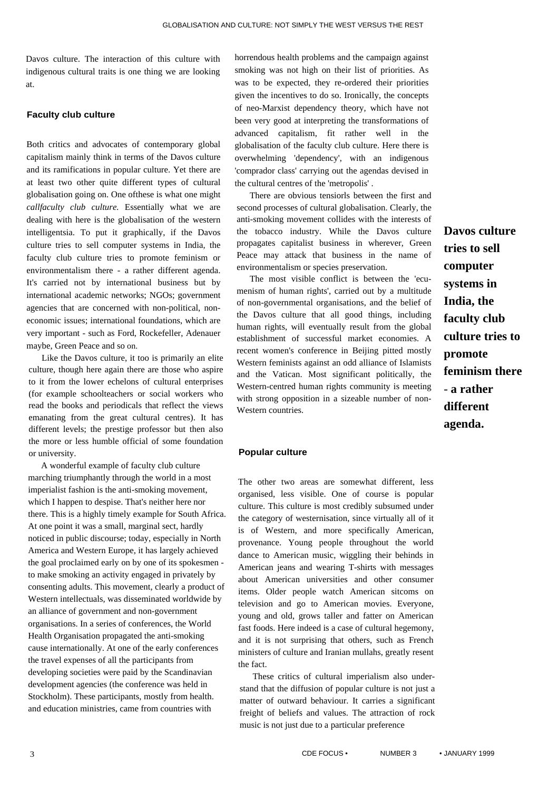Davos culture. The interaction of this culture with indigenous cultural traits is one thing we are looking at.

#### **Faculty club culture**

Both critics and advocates of contemporary global capitalism mainly think in terms of the Davos culture and its ramifications in popular culture. Yet there are at least two other quite different types of cultural globalisation going on. One ofthese is what one might *callfaculty club culture.* Essentially what we are dealing with here is the globalisation of the western intelligentsia. To put it graphically, if the Davos culture tries to sell computer systems in India, the faculty club culture tries to promote feminism or environmentalism there - a rather different agenda. It's carried not by international business but by international academic networks; NGOs; government agencies that are concerned with non-political, noneconomic issues; international foundations, which are very important - such as Ford, Rockefeller, Adenauer maybe, Green Peace and so on.

Like the Davos culture, it too is primarily an elite culture, though here again there are those who aspire to it from the lower echelons of cultural enterprises (for example schoolteachers or social workers who read the books and periodicals that reflect the views emanating from the great cultural centres). It has different levels; the prestige professor but then also the more or less humble official of some foundation or university.

A wonderful example of faculty club culture marching triumphantly through the world in a most imperialist fashion is the anti-smoking movement, which I happen to despise. That's neither here nor there. This is a highly timely example for South Africa. At one point it was a small, marginal sect, hardly noticed in public discourse; today, especially in North America and Western Europe, it has largely achieved the goal proclaimed early on by one of its spokesmen to make smoking an activity engaged in privately by consenting adults. This movement, clearly a product of Western intellectuals, was disseminated worldwide by an alliance of government and non-government organisations. In a series of conferences, the World Health Organisation propagated the anti-smoking cause internationally. At one of the early conferences the travel expenses of all the participants from developing societies were paid by the Scandinavian development agencies (the conference was held in Stockholm). These participants, mostly from health. and education ministries, came from countries with

horrendous health problems and the campaign against smoking was not high on their list of priorities. As was to be expected, they re-ordered their priorities given the incentives to do so. Ironically, the concepts of neo-Marxist dependency theory, which have not been very good at interpreting the transformations of advanced capitalism, fit rather well in the globalisation of the faculty club culture. Here there is overwhelming 'dependency', with an indigenous 'comprador class' carrying out the agendas devised in the cultural centres of the 'metropolis' .

There are obvious tensiorls between the first and second processes of cultural globalisation. Clearly, the anti-smoking movement collides with the interests of the tobacco industry. While the Davos culture propagates capitalist business in wherever, Green Peace may attack that business in the name of environmentalism or species preservation.

The most visible conflict is between the 'ecumenism of human rights', carried out by a multitude of non-governmental organisations, and the belief of the Davos culture that all good things, including human rights, will eventually result from the global establishment of successful market economies. A recent women's conference in Beijing pitted mostly Western feminists against an odd alliance of Islamists and the Vatican. Most significant politically, the Western-centred human rights community is meeting with strong opposition in a sizeable number of non-Western countries.

**Davos culture tries to sell computer systems in India, the faculty club culture tries to promote feminism there**  - **a rather different agenda.** 

#### **Popular culture**

The other two areas are somewhat different, less organised, less visible. One of course is popular culture. This culture is most credibly subsumed under the category of westernisation, since virtually all of it is of Western, and more specifically American, provenance. Young people throughout the world dance to American music, wiggling their behinds in American jeans and wearing T-shirts with messages about American universities and other consumer items. Older people watch American sitcoms on television and go to American movies. Everyone, young and old, grows taller and fatter on American fast foods. Here indeed is a case of cultural hegemony, and it is not surprising that others, such as French ministers of culture and Iranian mullahs, greatly resent the fact.

These critics of cultural imperialism also understand that the diffusion of popular culture is not just a matter of outward behaviour. It carries a significant freight of beliefs and values. The attraction of rock music is not just due to a particular preference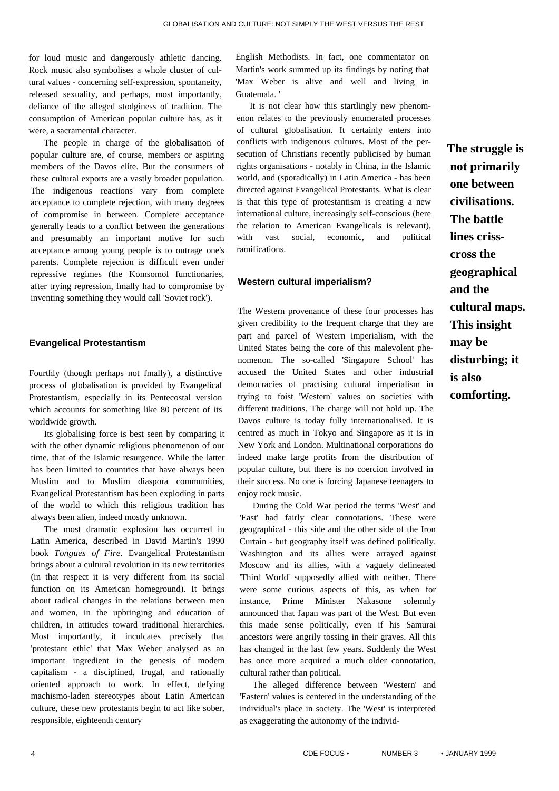for loud music and dangerously athletic dancing. Rock music also symbolises a whole cluster of cultural values - concerning self-expression, spontaneity, released sexuality, and perhaps, most importantly, defiance of the alleged stodginess of tradition. The consumption of American popular culture has, as it were, a sacramental character.

The people in charge of the globalisation of popular culture are, of course, members or aspiring members of the Davos elite. But the consumers of these cultural exports are a vastly broader population. The indigenous reactions vary from complete acceptance to complete rejection, with many degrees of compromise in between. Complete acceptance generally leads to a conflict between the generations and presumably an important motive for such acceptance among young people is to outrage one's parents. Complete rejection is difficult even under repressive regimes (the Komsomol functionaries, after trying repression, fmally had to compromise by inventing something they would call 'Soviet rock').

## **Evangelical Protestantism**

Fourthly (though perhaps not fmally), a distinctive process of globalisation is provided by Evangelical Protestantism, especially in its Pentecostal version which accounts for something like 80 percent of its worldwide growth.

Its globalising force is best seen by comparing it with the other dynamic religious phenomenon of our time, that of the Islamic resurgence. While the latter has been limited to countries that have always been Muslim and to Muslim diaspora communities, Evangelical Protestantism has been exploding in parts of the world to which this religious tradition has always been alien, indeed mostly unknown.

The most dramatic explosion has occurred in Latin America, described in David Martin's 1990 book *Tongues of Fire.* Evangelical Protestantism brings about a cultural revolution in its new territories (in that respect it is very different from its social function on its American homeground). It brings about radical changes in the relations between men and women, in the upbringing and education of children, in attitudes toward traditional hierarchies. Most importantly, it inculcates precisely that 'protestant ethic' that Max Weber analysed as an important ingredient in the genesis of modem capitalism - a disciplined, frugal, and rationally oriented approach to work. In effect, defying machismo-laden stereotypes about Latin American culture, these new protestants begin to act like sober, responsible, eighteenth century

English Methodists. In fact, one commentator on Martin's work summed up its findings by noting that 'Max Weber is alive and well and living in Guatemala. '

It is not clear how this startlingly new phenomenon relates to the previously enumerated processes of cultural globalisation. It certainly enters into conflicts with indigenous cultures. Most of the persecution of Christians recently publicised by human rights organisations - notably in China, in the Islamic world, and (sporadically) in Latin America - has been directed against Evangelical Protestants. What is clear is that this type of protestantism is creating a new international culture, increasingly self-conscious (here the relation to American Evangelicals is relevant), with vast social, economic, and political ramifications.

## **Western cultural imperialism?**

The Western provenance of these four processes has given credibility to the frequent charge that they are part and parcel of Western imperialism, with the United States being the core of this malevolent phenomenon. The so-called 'Singapore School' has accused the United States and other industrial democracies of practising cultural imperialism in trying to foist 'Western' values on societies with different traditions. The charge will not hold up. The Davos culture is today fully internationalised. It is centred as much in Tokyo and Singapore as it is in New York and London. Multinational corporations do indeed make large profits from the distribution of popular culture, but there is no coercion involved in their success. No one is forcing Japanese teenagers to enjoy rock music.

During the Cold War period the terms 'West' and 'East' had fairly clear connotations. These were geographical - this side and the other side of the Iron Curtain - but geography itself was defined politically. Washington and its allies were arrayed against Moscow and its allies, with a vaguely delineated 'Third World' supposedly allied with neither. There were some curious aspects of this, as when for instance, Prime Minister Nakasone solemnly announced that Japan was part of the West. But even this made sense politically, even if his Samurai ancestors were angrily tossing in their graves. All this has changed in the last few years. Suddenly the West has once more acquired a much older connotation, cultural rather than political.

The alleged difference between 'Western' and 'Eastern' values is centered in the understanding of the individual's place in society. The 'West' is interpreted as exaggerating the autonomy of the individ**The struggle is not primarily one between civilisations. The battle lines crisscross the geographical and the cultural maps. This insight may be disturbing; it is also comforting.**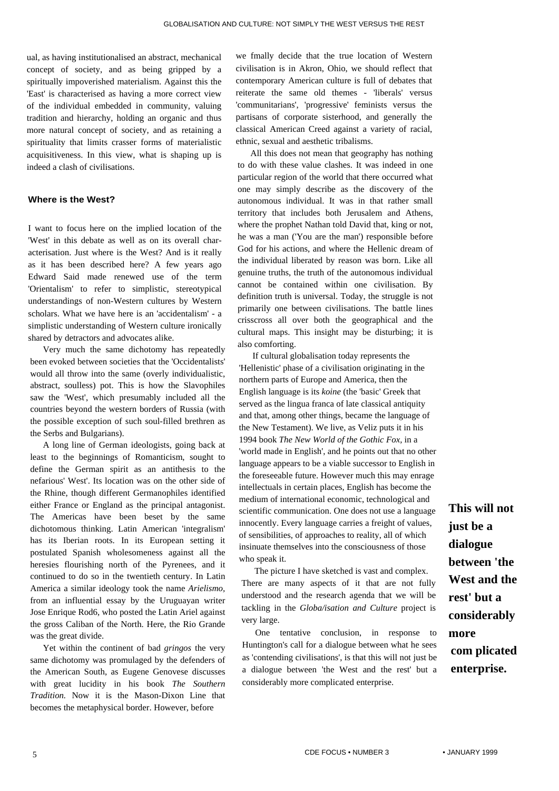ual, as having institutionalised an abstract, mechanical concept of society, and as being gripped by a spiritually impoverished materialism. Against this the 'East' is characterised as having a more correct view of the individual embedded in community, valuing tradition and hierarchy, holding an organic and thus more natural concept of society, and as retaining a spirituality that limits crasser forms of materialistic acquisitiveness. In this view, what is shaping up is indeed a clash of civilisations.

## **Where is the West?**

I want to focus here on the implied location of the 'West' in this debate as well as on its overall characterisation. Just where is the West? And is it really as it has been described here? A few years ago Edward Said made renewed use of the term 'Orientalism' to refer to simplistic, stereotypical understandings of non-Western cultures by Western scholars. What we have here is an 'accidentalism' - a simplistic understanding of Western culture ironically shared by detractors and advocates alike.

Very much the same dichotomy has repeatedly been evoked between societies that the 'Occidentalists' would all throw into the same (overly individualistic, abstract, soulless) pot. This is how the Slavophiles saw the 'West', which presumably included all the countries beyond the western borders of Russia (with the possible exception of such soul-filled brethren as the Serbs and Bulgarians).

A long line of German ideologists, going back at least to the beginnings of Romanticism, sought to define the German spirit as an antithesis to the nefarious' West'. Its location was on the other side of the Rhine, though different Germanophiles identified either France or England as the principal antagonist. The Americas have been beset by the same dichotomous thinking. Latin American 'integralism' has its Iberian roots. In its European setting it postulated Spanish wholesomeness against all the heresies flourishing north of the Pyrenees, and it continued to do so in the twentieth century. In Latin America a similar ideology took the name *Arielismo,*  from an influential essay by the Uruguayan writer Jose Enrique Rod6, who posted the Latin Ariel against the gross Caliban of the North. Here, the Rio Grande was the great divide.

Yet within the continent of bad *gringos* the very same dichotomy was promulaged by the defenders of the American South, as Eugene Genovese discusses with great lucidity in his book *The Southern Tradition.* Now it is the Mason-Dixon Line that becomes the metaphysical border. However, before

we fmally decide that the true location of Western civilisation is in Akron, Ohio, we should reflect that contemporary American culture is full of debates that reiterate the same old themes - 'liberals' versus 'communitarians', 'progressive' feminists versus the partisans of corporate sisterhood, and generally the classical American Creed against a variety of racial, ethnic, sexual and aesthetic tribalisms.

All this does not mean that geography has nothing to do with these value clashes. It was indeed in one particular region of the world that there occurred what one may simply describe as the discovery of the autonomous individual. It was in that rather small territory that includes both Jerusalem and Athens, where the prophet Nathan told David that, king or not, he was a man ('You are the man') responsible before God for his actions, and where the Hellenic dream of the individual liberated by reason was born. Like all genuine truths, the truth of the autonomous individual cannot be contained within one civilisation. By definition truth is universal. Today, the struggle is not primarily one between civilisations. The battle lines crisscross all over both the geographical and the cultural maps. This insight may be disturbing; it is also comforting.

If cultural globalisation today represents the 'Hellenistic' phase of a civilisation originating in the northern parts of Europe and America, then the English language is its *koine* (the 'basic' Greek that served as the lingua franca of late classical antiquity and that, among other things, became the language of the New Testament). We live, as Veliz puts it in his 1994 book *The New World of the Gothic Fox,* in a 'world made in English', and he points out that no other language appears to be a viable successor to English in the foreseeable future. However much this may enrage intellectuals in certain places, English has become the medium of international economic, technological and scientific communication. One does not use a language innocently. Every language carries a freight of values, of sensibilities, of approaches to reality, all of which insinuate themselves into the consciousness of those who speak it.

The picture I have sketched is vast and complex. There are many aspects of it that are not fully understood and the research agenda that we will be tackling in the *Globa/isation and Culture* project is very large.

One tentative conclusion, in response to Huntington's call for a dialogue between what he sees as 'contending civilisations', is that this will not just be a dialogue between 'the West and the rest' but a considerably more complicated enterprise.

**This will not just be a dialogue between 'the West and the rest' but a considerably more com plicated enterprise.**